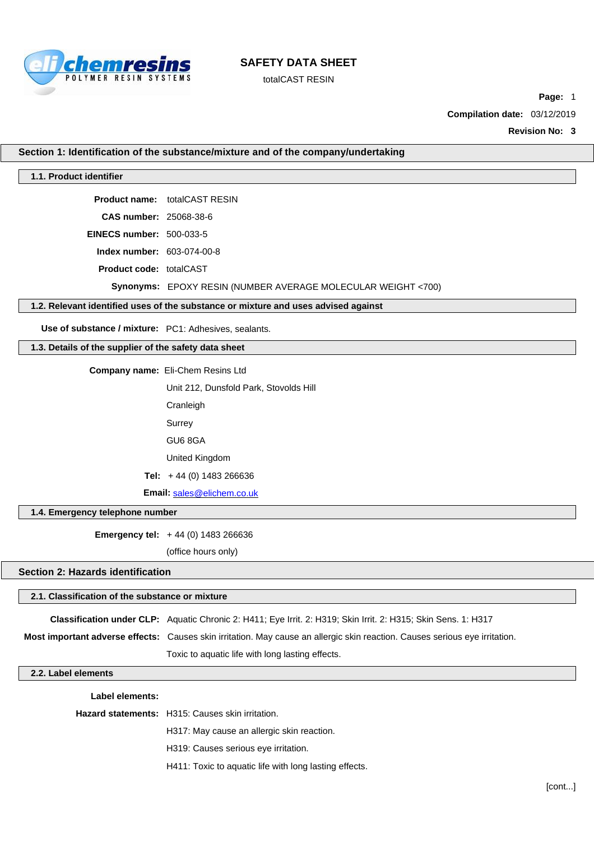

totalCAST RESIN

**Page:** 1

**Compilation date:** 03/12/2019

**Revision No: 3**

**Section 1: Identification of the substance/mixture and of the company/undertaking**

#### **1.1. Product identifier**

**Product name:** totalCAST RESIN

**CAS number:** 25068-38-6

**EINECS number:** 500-033-5

**Index number:** 603-074-00-8

**Product code:** totalCAST

**Synonyms:** EPOXY RESIN (NUMBER AVERAGE MOLECULAR WEIGHT <700)

### **1.2. Relevant identified uses of the substance or mixture and uses advised against**

**Use of substance / mixture:** PC1: Adhesives, sealants.

## **1.3. Details of the supplier of the safety data sheet**

**Company name:** Eli-Chem Resins Ltd

Unit 212, Dunsfold Park, Stovolds Hill

Cranleigh

Surrey

GU6 8GA

United Kingdom

**Tel:** + 44 (0) 1483 266636

**Email:** [sales@elichem.co.uk](mailto:sales@elichem.co.uk)

#### **1.4. Emergency telephone number**

**Emergency tel:** + 44 (0) 1483 266636

(office hours only)

### **Section 2: Hazards identification**

## **2.1. Classification of the substance or mixture**

**Classification under CLP:** Aquatic Chronic 2: H411; Eye Irrit. 2: H319; Skin Irrit. 2: H315; Skin Sens. 1: H317

**Most important adverse effects:** Causes skin irritation. May cause an allergic skin reaction. Causes serious eye irritation.

Toxic to aquatic life with long lasting effects.

## **2.2. Label elements**

## **Label elements:**

**Hazard statements:** H315: Causes skin irritation.

H317: May cause an allergic skin reaction.

H319: Causes serious eye irritation.

H411: Toxic to aquatic life with long lasting effects.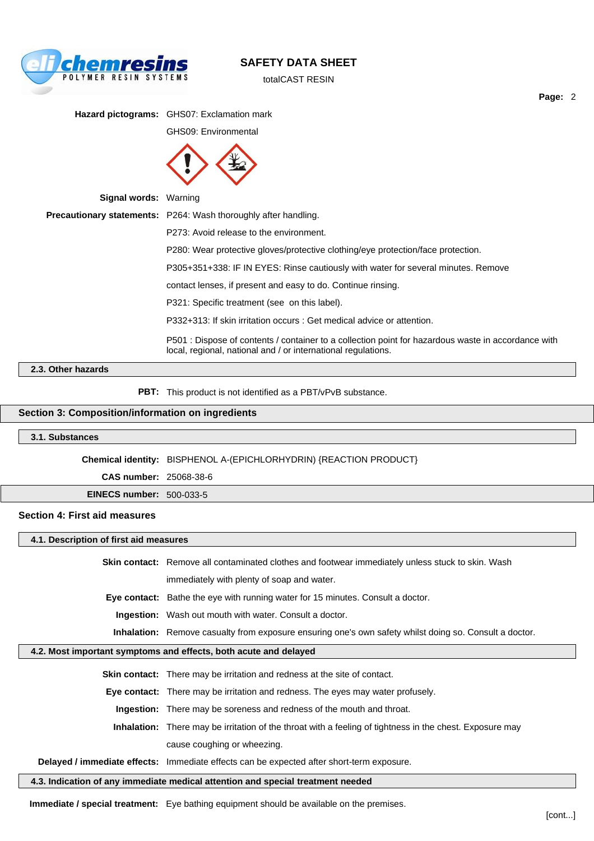

totalCAST RESIN

**Page:** 2

**Hazard pictograms:** GHS07: Exclamation mark GHS09: Environmental



| <b>Signal words: Warning</b> |                                                                                                                                                                      |
|------------------------------|----------------------------------------------------------------------------------------------------------------------------------------------------------------------|
|                              | <b>Precautionary statements:</b> P264: Wash thoroughly after handling.                                                                                               |
|                              | P273: Avoid release to the environment.                                                                                                                              |
|                              | P280: Wear protective gloves/protective clothing/eye protection/face protection.                                                                                     |
|                              | P305+351+338: IF IN EYES: Rinse cautiously with water for several minutes. Remove                                                                                    |
|                              | contact lenses, if present and easy to do. Continue rinsing.                                                                                                         |
|                              | P321: Specific treatment (see on this label).                                                                                                                        |
|                              | P332+313: If skin irritation occurs : Get medical advice or attention.                                                                                               |
|                              | P501 : Dispose of contents / container to a collection point for hazardous waste in accordance with<br>local, regional, national and / or international regulations. |
|                              |                                                                                                                                                                      |

### **2.3. Other hazards**

**PBT:** This product is not identified as a PBT/vPvB substance.

### **Section 3: Composition/information on ingredients**

### **3.1. Substances**

**Chemical identity:** BISPHENOL A-(EPICHLORHYDRIN) {REACTION PRODUCT}

**CAS number:** 25068-38-6

**EINECS number:** 500-033-5

#### **Section 4: First aid measures**

**4.1. Description of first aid measures**

**Skin contact:** Remove all contaminated clothes and footwear immediately unless stuck to skin. Wash

immediately with plenty of soap and water.

**Eye contact:** Bathe the eye with running water for 15 minutes. Consult a doctor.

**Ingestion:** Wash out mouth with water. Consult a doctor.

**Inhalation:** Remove casualty from exposure ensuring one's own safety whilst doing so. Consult a doctor.

### **4.2. Most important symptoms and effects, both acute and delayed**

**Skin contact:** There may be irritation and redness at the site of contact. **Eye contact:** There may be irritation and redness. The eyes may water profusely. **Ingestion:** There may be soreness and redness of the mouth and throat. **Inhalation:** There may be irritation of the throat with a feeling of tightness in the chest. Exposure may

cause coughing or wheezing.

### **Delayed / immediate effects:** Immediate effects can be expected after short-term exposure.

**4.3. Indication of any immediate medical attention and special treatment needed**

**Immediate / special treatment:** Eye bathing equipment should be available on the premises.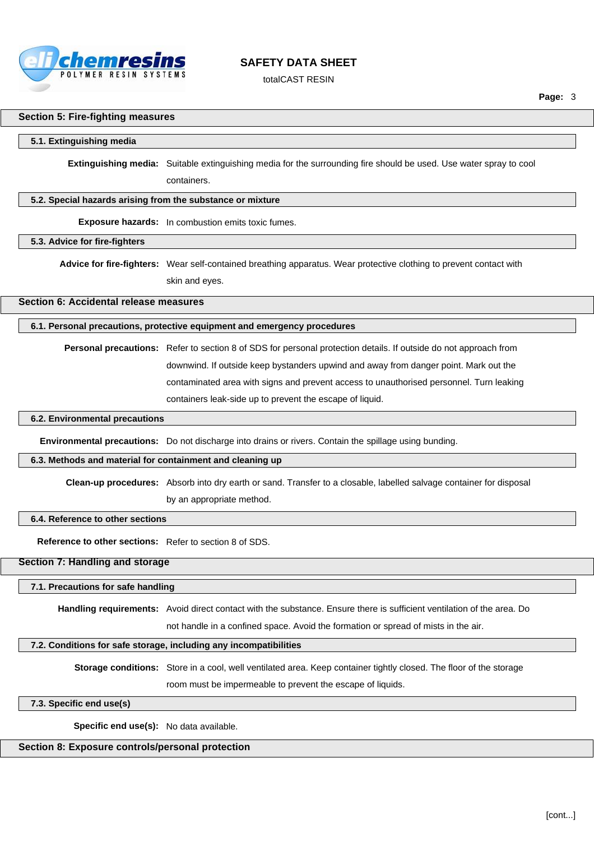

totalCAST RESIN

### **Section 5: Fire-fighting measures**

#### **5.1. Extinguishing media**

**Extinguishing media:** Suitable extinguishing media for the surrounding fire should be used. Use water spray to cool containers.

#### **5.2. Special hazards arising from the substance or mixture**

**Exposure hazards:** In combustion emits toxic fumes.

**5.3. Advice for fire-fighters**

**Advice for fire-fighters:** Wear self-contained breathing apparatus. Wear protective clothing to prevent contact with skin and eyes.

### **Section 6: Accidental release measures**

#### **6.1. Personal precautions, protective equipment and emergency procedures**

**Personal precautions:** Refer to section 8 of SDS for personal protection details. If outside do not approach from downwind. If outside keep bystanders upwind and away from danger point. Mark out the contaminated area with signs and prevent access to unauthorised personnel. Turn leaking containers leak-side up to prevent the escape of liquid.

#### **6.2. Environmental precautions**

**Environmental precautions:** Do not discharge into drains or rivers. Contain the spillage using bunding.

#### **6.3. Methods and material for containment and cleaning up**

**Clean-up procedures:** Absorb into dry earth or sand. Transfer to a closable, labelled salvage container for disposal by an appropriate method.

#### **6.4. Reference to other sections**

**Reference to other sections:** Refer to section 8 of SDS.

### **Section 7: Handling and storage**

#### **7.1. Precautions for safe handling**

**Handling requirements:** Avoid direct contact with the substance. Ensure there is sufficient ventilation of the area. Do

not handle in a confined space. Avoid the formation or spread of mists in the air.

#### **7.2. Conditions for safe storage, including any incompatibilities**

**Storage conditions:** Store in a cool, well ventilated area. Keep container tightly closed. The floor of the storage room must be impermeable to prevent the escape of liquids.

### **7.3. Specific end use(s)**

**Specific end use(s):** No data available.

### **Section 8: Exposure controls/personal protection**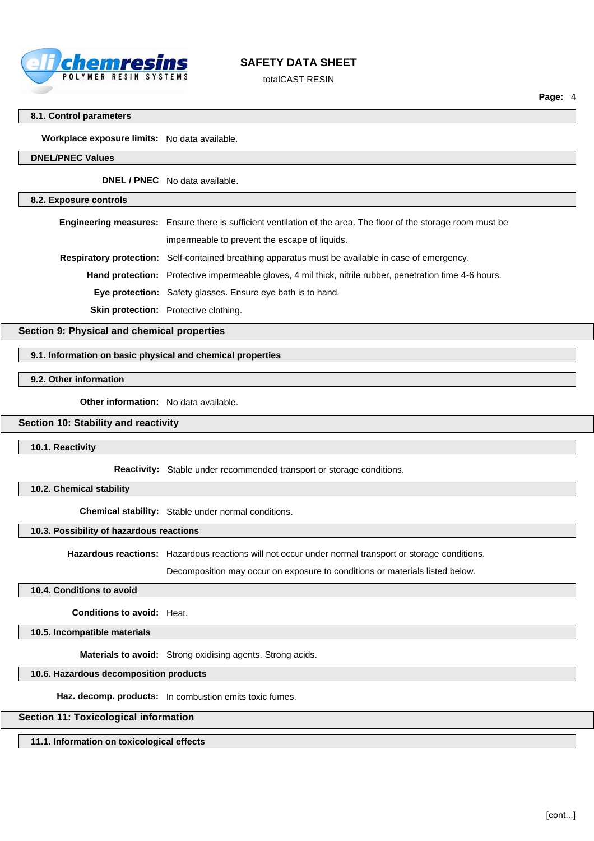

totalCAST RESIN

#### **8.1. Control parameters**

**Workplace exposure limits:** No data available.

#### **DNEL/PNEC Values**

**DNEL / PNEC** No data available.

#### **8.2. Exposure controls**

**Engineering measures:** Ensure there is sufficient ventilation of the area. The floor of the storage room must be impermeable to prevent the escape of liquids.

**Respiratory protection:** Self-contained breathing apparatus must be available in case of emergency.

**Hand protection:** Protective impermeable gloves, 4 mil thick, nitrile rubber, penetration time 4-6 hours.

**Eye protection:** Safety glasses. Ensure eye bath is to hand.

**Skin protection:** Protective clothing.

**Section 9: Physical and chemical properties**

### **9.1. Information on basic physical and chemical properties**

**9.2. Other information**

**Other information:** No data available.

### **Section 10: Stability and reactivity**

**10.1. Reactivity**

**Reactivity:** Stable under recommended transport or storage conditions.

**10.2. Chemical stability**

**Chemical stability:** Stable under normal conditions.

### **10.3. Possibility of hazardous reactions**

**Hazardous reactions:** Hazardous reactions will not occur under normal transport or storage conditions.

Decomposition may occur on exposure to conditions or materials listed below.

#### **10.4. Conditions to avoid**

**Conditions to avoid:** Heat.

**10.5. Incompatible materials**

**Materials to avoid:** Strong oxidising agents. Strong acids.

### **10.6. Hazardous decomposition products**

**Haz. decomp. products:** In combustion emits toxic fumes.

### **Section 11: Toxicological information**

**11.1. Information on toxicological effects**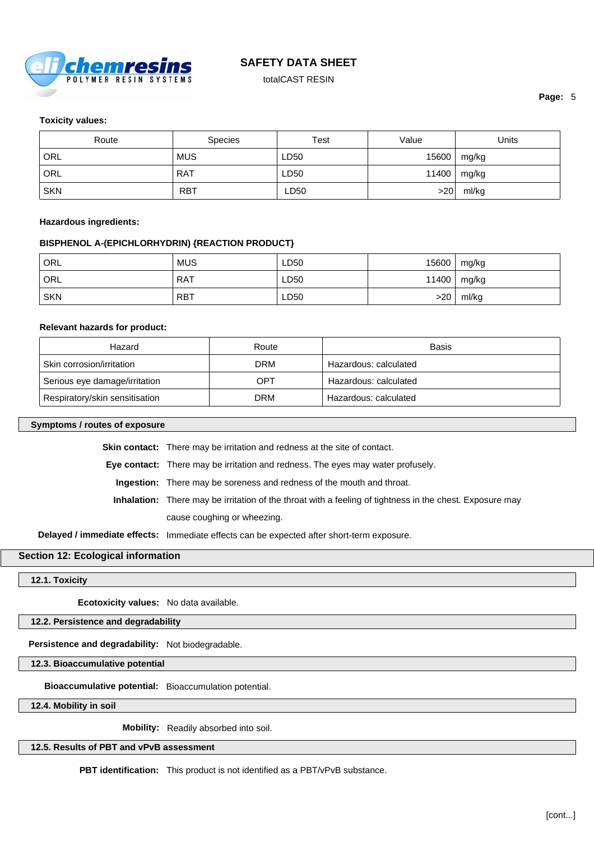

totalCAST RESIN

#### **Toxicity values:**

| Route      | <b>Species</b> | Test | Value | Units         |
|------------|----------------|------|-------|---------------|
| ORL        | <b>MUS</b>     | LD50 | 15600 | mg/kg         |
| ORL        | <b>RAT</b>     | LD50 |       | 11400   mg/kg |
| <b>SKN</b> | <b>RBT</b>     | LD50 | >20   | ml/kg         |

#### **Hazardous ingredients:**

#### **BISPHENOL A-(EPICHLORHYDRIN) {REACTION PRODUCT}**

| ORL        | <b>MUS</b> | LD50 | 15600 | mg/kg         |
|------------|------------|------|-------|---------------|
| ORL        | <b>RAT</b> | LD50 |       | 11400   mg/kg |
| <b>SKN</b> | <b>RBT</b> | LD50 | >20   | ml/kg         |

#### **Relevant hazards for product:**

| Hazard                         | Route | Basis                 |
|--------------------------------|-------|-----------------------|
| Skin corrosion/irritation      | DRM   | Hazardous: calculated |
| Serious eye damage/irritation  | OPT   | Hazardous: calculated |
| Respiratory/skin sensitisation | DRM   | Hazardous: calculated |

### **Symptoms / routes of exposure**

**Skin contact:** There may be irritation and redness at the site of contact.

**Eye contact:** There may be irritation and redness. The eyes may water profusely.

**Ingestion:** There may be soreness and redness of the mouth and throat.

**Inhalation:** There may be irritation of the throat with a feeling of tightness in the chest. Exposure may cause coughing or wheezing.

**Delayed / immediate effects:** Immediate effects can be expected after short-term exposure.

### **Section 12: Ecological information**

**12.1. Toxicity**

**Ecotoxicity values:** No data available.

**12.2. Persistence and degradability**

**Persistence and degradability:** Not biodegradable.

**12.3. Bioaccumulative potential**

**Bioaccumulative potential:** Bioaccumulation potential.

**12.4. Mobility in soil**

**Mobility:** Readily absorbed into soil.

**12.5. Results of PBT and vPvB assessment**

**PBT identification:** This product is not identified as a PBT/vPvB substance.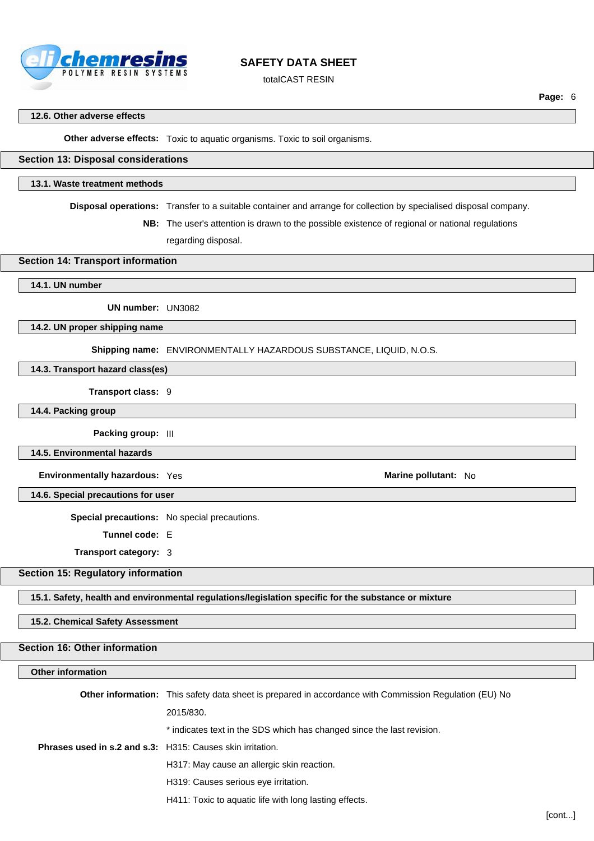

totalCAST RESIN

#### **12.6. Other adverse effects**

**Other adverse effects:** Toxic to aquatic organisms. Toxic to soil organisms.

### **Section 13: Disposal considerations**

#### **13.1. Waste treatment methods**

**Disposal operations:** Transfer to a suitable container and arrange for collection by specialised disposal company.

**NB:** The user's attention is drawn to the possible existence of regional or national regulations regarding disposal.

#### **Section 14: Transport information**

#### **14.1. UN number**

**UN number:** UN3082

**14.2. UN proper shipping name**

**Shipping name:** ENVIRONMENTALLY HAZARDOUS SUBSTANCE, LIQUID, N.O.S.

### **14.3. Transport hazard class(es)**

**Transport class:** 9

**14.4. Packing group**

**Packing group:** III

**14.5. Environmental hazards**

**Environmentally hazardous:** Yes **Marine pollutant: No Marine pollutant: No** 

**14.6. Special precautions for user**

**Special precautions:** No special precautions.

**Tunnel code:** E

**Transport category:** 3

### **Section 15: Regulatory information**

**15.1. Safety, health and environmental regulations/legislation specific for the substance or mixture**

#### **15.2. Chemical Safety Assessment**

#### **Section 16: Other information**

#### **Other information**

**Other information:** This safety data sheet is prepared in accordance with Commission Regulation (EU) No 2015/830. \* indicates text in the SDS which has changed since the last revision. **Phrases used in s.2 and s.3:** H315: Causes skin irritation. H317: May cause an allergic skin reaction. H319: Causes serious eye irritation. H411: Toxic to aquatic life with long lasting effects.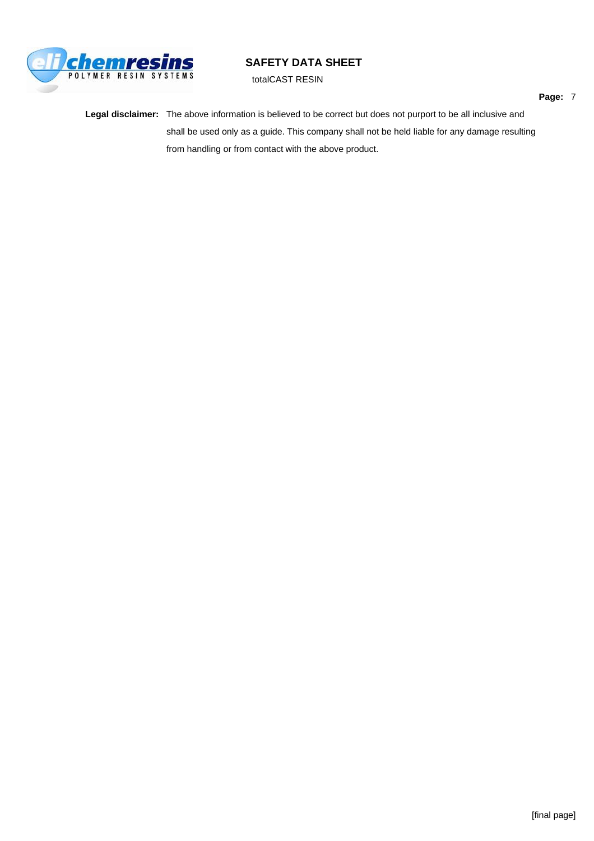

totalCAST RESIN

**Legal disclaimer:** The above information is believed to be correct but does not purport to be all inclusive and shall be used only as a guide. This company shall not be held liable for any damage resulting from handling or from contact with the above product.

**Page:** 7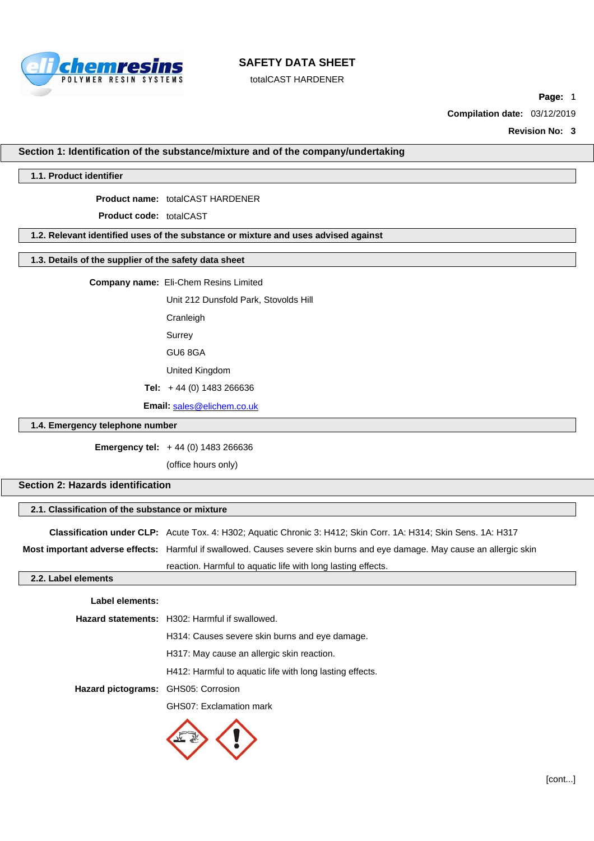

totalCAST HARDENER

**Page:** 1

**Compilation date:** 03/12/2019

**Revision No: 3**

#### **Section 1: Identification of the substance/mixture and of the company/undertaking**

#### **1.1. Product identifier**

**Product name:** totalCAST HARDENER

**Product code:** totalCAST

#### **1.2. Relevant identified uses of the substance or mixture and uses advised against**

#### **1.3. Details of the supplier of the safety data sheet**

**Company name:** Eli-Chem Resins Limited

Unit 212 Dunsfold Park, Stovolds Hill

Cranleigh

Surrey

GU6 8GA

United Kingdom

**Tel:** + 44 (0) 1483 266636

**Email:** [sales@elichem.co.uk](mailto:sales@elichem.co.uk)

### **1.4. Emergency telephone number**

**Emergency tel:** + 44 (0) 1483 266636

(office hours only)

### **Section 2: Hazards identification**

#### **2.1. Classification of the substance or mixture**

**Classification under CLP:** Acute Tox. 4: H302; Aquatic Chronic 3: H412; Skin Corr. 1A: H314; Skin Sens. 1A: H317

**Most important adverse effects:** Harmful if swallowed. Causes severe skin burns and eye damage. May cause an allergic skin

reaction. Harmful to aquatic life with long lasting effects.

### **2.2. Label elements**

| Label elements: |                                                          |
|-----------------|----------------------------------------------------------|
|                 | <b>Hazard statements:</b> H302: Harmful if swallowed.    |
|                 | H314: Causes severe skin burns and eye damage.           |
|                 | H317: May cause an allergic skin reaction.               |
|                 | H412: Harmful to aquatic life with long lasting effects. |

**Hazard pictograms:** GHS05: Corrosion

GHS07: Exclamation mark

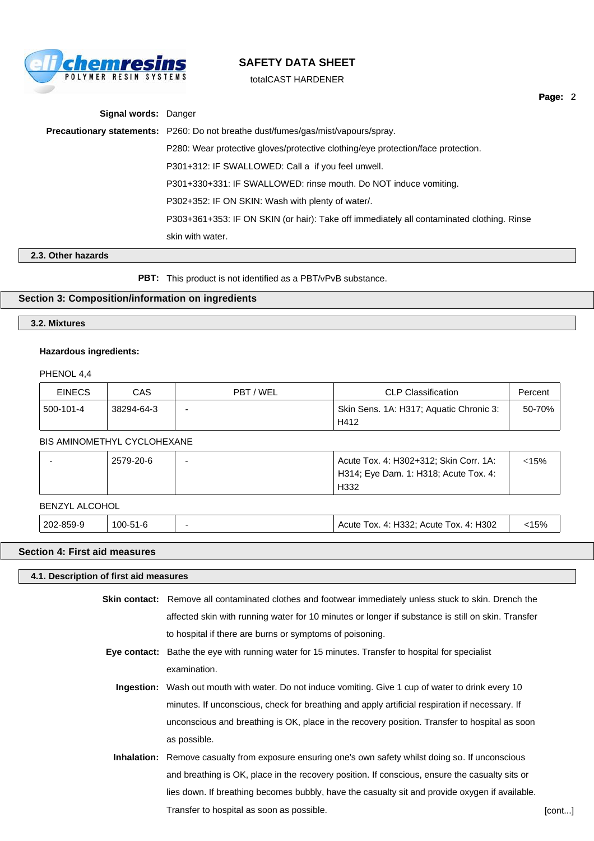

totalCAST HARDENER

| <b>Signal words: Danger</b> |                                                                                           |
|-----------------------------|-------------------------------------------------------------------------------------------|
|                             | <b>Precautionary statements:</b> P260: Do not breathe dust/fumes/gas/mist/vapours/spray.  |
|                             | P280: Wear protective gloves/protective clothing/eye protection/face protection.          |
|                             | P301+312: IF SWALLOWED: Call a if you feel unwell.                                        |
|                             | P301+330+331: IF SWALLOWED: rinse mouth. Do NOT induce vomiting.                          |
|                             | P302+352: IF ON SKIN: Wash with plenty of water/.                                         |
|                             | P303+361+353: IF ON SKIN (or hair): Take off immediately all contaminated clothing. Rinse |
|                             | skin with water.                                                                          |
|                             |                                                                                           |

**2.3. Other hazards**

**PBT:** This product is not identified as a PBT/vPvB substance.

### **Section 3: Composition/information on ingredients**

### **3.2. Mixtures**

#### **Hazardous ingredients:**

PHENOL 4,4

| <b>EINECS</b> | CAS        | PBT / WEL | <b>CLP Classification</b>                       | Percent |
|---------------|------------|-----------|-------------------------------------------------|---------|
| 500-101-4     | 38294-64-3 |           | Skin Sens. 1A: H317; Aquatic Chronic 3:<br>H412 | 50-70%  |

### BIS AMINOMETHYL CYCLOHEXANE

| 2579-20-6 | Acute Tox. 4: H302+312; Skin Corr. 1A: | 15% |
|-----------|----------------------------------------|-----|
|           | H314; Eye Dam. 1: H318; Acute Tox. 4:  |     |
|           | H332                                   |     |

#### BENZYL ALCOHOL

202-859-9 100-51-6 - Acute Tox. 4: H332; Acute Tox. 4: H302 <15%

**Section 4: First aid measures**

**4.1. Description of first aid measures Skin contact:** Remove all contaminated clothes and footwear immediately unless stuck to skin. Drench the affected skin with running water for 10 minutes or longer if substance is still on skin. Transfer to hospital if there are burns or symptoms of poisoning. **Eye contact:** Bathe the eye with running water for 15 minutes. Transfer to hospital for specialist examination. **Ingestion:** Wash out mouth with water. Do not induce vomiting. Give 1 cup of water to drink every 10

minutes. If unconscious, check for breathing and apply artificial respiration if necessary. If unconscious and breathing is OK, place in the recovery position. Transfer to hospital as soon as possible.

**Inhalation:** Remove casualty from exposure ensuring one's own safety whilst doing so. If unconscious and breathing is OK, place in the recovery position. If conscious, ensure the casualty sits or lies down. If breathing becomes bubbly, have the casualty sit and provide oxygen if available. Transfer to hospital as soon as possible. The set of the set of the set of the set of the set of the set of the set of the set of the set of the set of the set of the set of the set of the set of the set of the set of the

**Page:** 2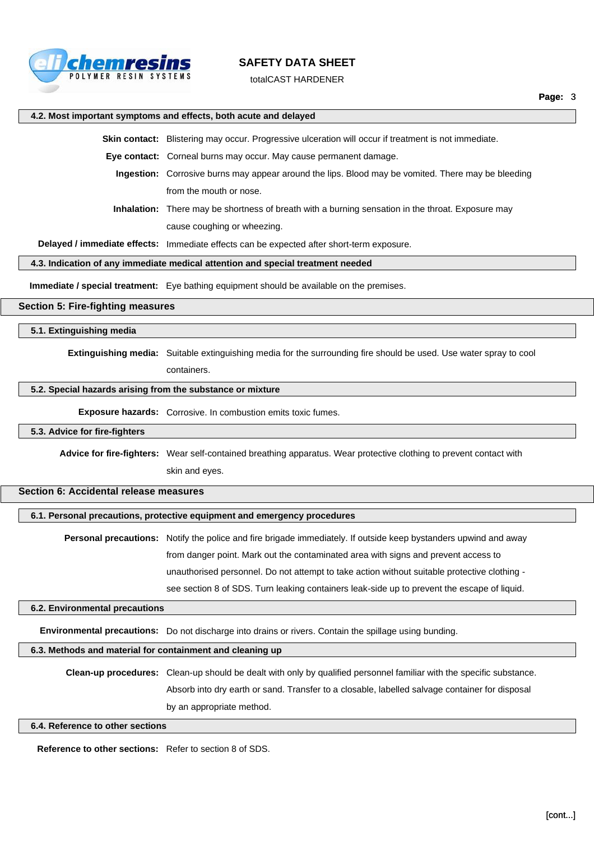

totalCAST HARDENER

#### **4.2. Most important symptoms and effects, both acute and delayed**

**Skin contact:** Blistering may occur. Progressive ulceration will occur if treatment is not immediate.

**Eye contact:** Corneal burns may occur. May cause permanent damage.

**Ingestion:** Corrosive burns may appear around the lips. Blood may be vomited. There may be bleeding from the mouth or nose.

**Inhalation:** There may be shortness of breath with a burning sensation in the throat. Exposure may cause coughing or wheezing.

**Delayed / immediate effects:** Immediate effects can be expected after short-term exposure.

**4.3. Indication of any immediate medical attention and special treatment needed**

**Immediate / special treatment:** Eye bathing equipment should be available on the premises.

#### **Section 5: Fire-fighting measures**

**5.1. Extinguishing media**

**Extinguishing media:** Suitable extinguishing media for the surrounding fire should be used. Use water spray to cool containers.

#### **5.2. Special hazards arising from the substance or mixture**

**Exposure hazards:** Corrosive. In combustion emits toxic fumes.

#### **5.3. Advice for fire-fighters**

**Advice for fire-fighters:** Wear self-contained breathing apparatus. Wear protective clothing to prevent contact with

skin and eyes.

### **Section 6: Accidental release measures**

#### **6.1. Personal precautions, protective equipment and emergency procedures**

**Personal precautions:** Notify the police and fire brigade immediately. If outside keep bystanders upwind and away from danger point. Mark out the contaminated area with signs and prevent access to unauthorised personnel. Do not attempt to take action without suitable protective clothing see section 8 of SDS. Turn leaking containers leak-side up to prevent the escape of liquid.

#### **6.2. Environmental precautions**

**Environmental precautions:** Do not discharge into drains or rivers. Contain the spillage using bunding.

### **6.3. Methods and material for containment and cleaning up**

**Clean-up procedures:** Clean-up should be dealt with only by qualified personnel familiar with the specific substance. Absorb into dry earth or sand. Transfer to a closable, labelled salvage container for disposal by an appropriate method.

### **6.4. Reference to other sections**

**Reference to other sections:** Refer to section 8 of SDS.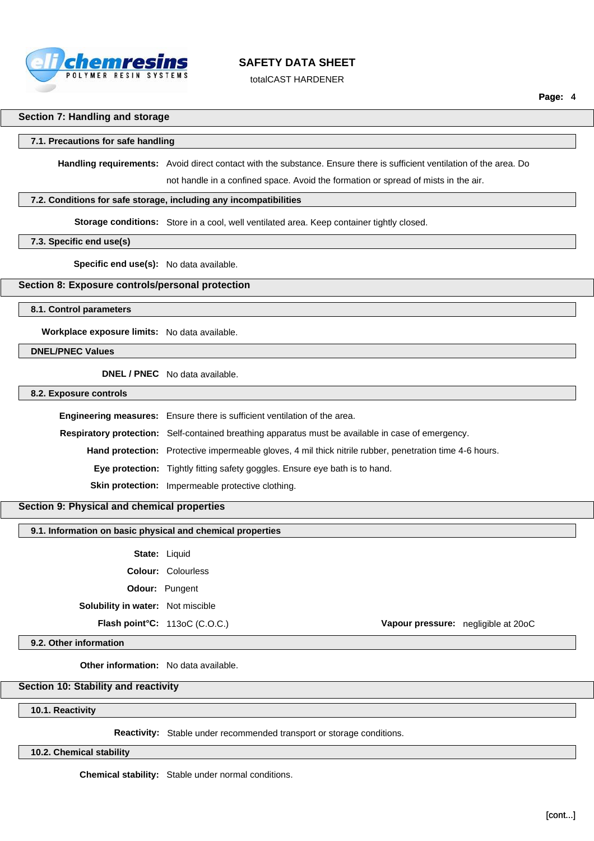

totalCAST HARDENER

#### **Section 7: Handling and storage**

#### **7.1. Precautions for safe handling**

**Handling requirements:** Avoid direct contact with the substance. Ensure there is sufficient ventilation of the area. Do not handle in a confined space. Avoid the formation or spread of mists in the air.

#### **7.2. Conditions for safe storage, including any incompatibilities**

**Storage conditions:** Store in a cool, well ventilated area. Keep container tightly closed.

### **7.3. Specific end use(s)**

**Specific end use(s):** No data available.

### **Section 8: Exposure controls/personal protection**

**8.1. Control parameters**

**Workplace exposure limits:** No data available.

**DNEL/PNEC Values**

**DNEL / PNEC** No data available.

#### **8.2. Exposure controls**

**Engineering measures:** Ensure there is sufficient ventilation of the area. **Respiratory protection:** Self-contained breathing apparatus must be available in case of emergency. **Hand protection:** Protective impermeable gloves, 4 mil thick nitrile rubber, penetration time 4-6 hours. **Eye protection:** Tightly fitting safety goggles. Ensure eye bath is to hand. **Skin protection:** Impermeable protective clothing.

### **Section 9: Physical and chemical properties**

### **9.1. Information on basic physical and chemical properties**

**State:** Liquid

**Colour:** Colourless

**Odour:** Pungent

**Solubility in water:** Not miscible

**Flash point°C:** 113oC (C.O.C.) **Vapour pressure:** negligible at 20oC

#### **9.2. Other information**

**Other information:** No data available.

### **Section 10: Stability and reactivity**

**10.1. Reactivity**

**Reactivity:** Stable under recommended transport or storage conditions.

**10.2. Chemical stability**

**Chemical stability:** Stable under normal conditions.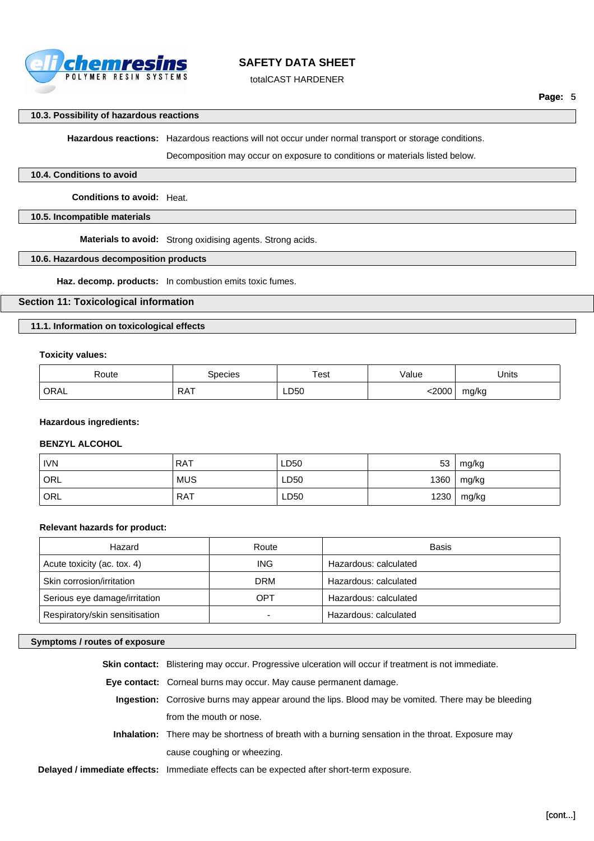

totalCAST HARDENER

### **10.3. Possibility of hazardous reactions**

**Hazardous reactions:** Hazardous reactions will not occur under normal transport or storage conditions.

Decomposition may occur on exposure to conditions or materials listed below.

### **10.4. Conditions to avoid**

**Conditions to avoid:** Heat.

## **10.5. Incompatible materials**

**Materials to avoid:** Strong oxidising agents. Strong acids.

## **10.6. Hazardous decomposition products**

**Haz. decomp. products:** In combustion emits toxic fumes.

### **Section 11: Toxicological information**

### **11.1. Information on toxicological effects**

### **Toxicity values:**

| ≺oute       | `necies | <sup>-</sup> est | alue/ | Units |
|-------------|---------|------------------|-------|-------|
| <b>ORAL</b> | RA I    | LD50             | 2000  | mg/kg |

#### **Hazardous ingredients:**

### **BENZYL ALCOHOL**

| <b>IVN</b>       | <b>RAT</b> | LD50 | 53   | mg/kg |
|------------------|------------|------|------|-------|
| ORL              | <b>MUS</b> | LD50 | 1360 | mg/kg |
| ORL <sup>'</sup> | <b>RAT</b> | LD50 | 1230 | mg/kg |

### **Relevant hazards for product:**

| Hazard                         | Route | <b>Basis</b>          |
|--------------------------------|-------|-----------------------|
| Acute toxicity (ac. tox. 4)    | ING.  | Hazardous: calculated |
| Skin corrosion/irritation      | DRM   | Hazardous: calculated |
| Serious eye damage/irritation  | OPT   | Hazardous: calculated |
| Respiratory/skin sensitisation |       | Hazardous: calculated |

### **Symptoms / routes of exposure**

| <b>Skin contact:</b> Blistering may occur. Progressive ulceration will occur if treatment is not immediate. |
|-------------------------------------------------------------------------------------------------------------|
| Eye contact: Corneal burns may occur. May cause permanent damage.                                           |
| <b>Ingestion:</b> Corrosive burns may appear around the lips. Blood may be vomited. There may be bleeding   |
| from the mouth or nose.                                                                                     |
| Inhalation: There may be shortness of breath with a burning sensation in the throat. Exposure may           |
| cause coughing or wheezing.                                                                                 |
| <b>Delayed / immediate effects:</b> Immediate effects can be expected after short-term exposure.            |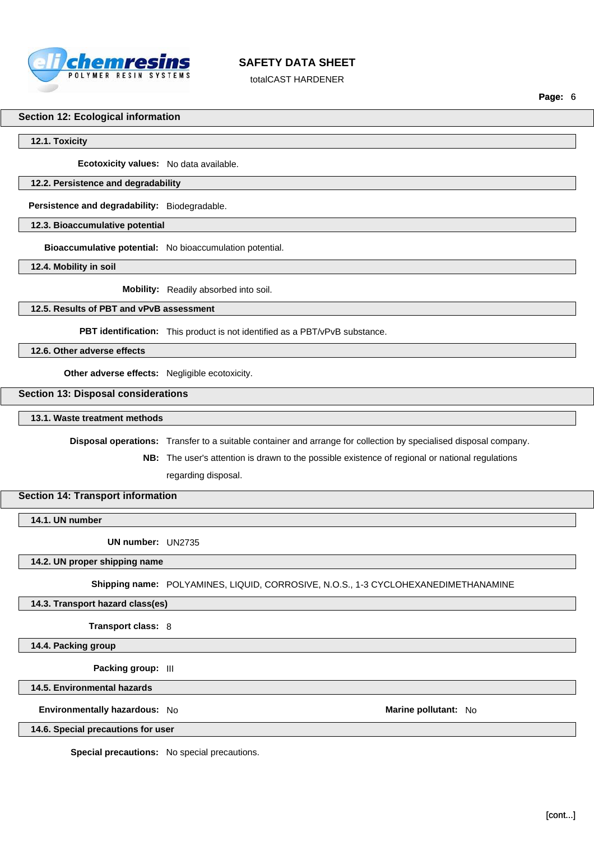

totalCAST HARDENER

**Page:** 6

#### **Section 12: Ecological information**

**12.1. Toxicity**

**Ecotoxicity values:** No data available.

#### **12.2. Persistence and degradability**

**Persistence and degradability:** Biodegradable.

**12.3. Bioaccumulative potential**

**Bioaccumulative potential:** No bioaccumulation potential.

**12.4. Mobility in soil**

**Mobility:** Readily absorbed into soil.

### **12.5. Results of PBT and vPvB assessment**

**PBT identification:** This product is not identified as a PBT/vPvB substance.

**12.6. Other adverse effects**

**Other adverse effects:** Negligible ecotoxicity.

### **Section 13: Disposal considerations**

**13.1. Waste treatment methods**

**Disposal operations:** Transfer to a suitable container and arrange for collection by specialised disposal company.

**NB:** The user's attention is drawn to the possible existence of regional or national regulations regarding disposal.

#### **Section 14: Transport information**

**14.1. UN number**

**UN number:** UN2735

**14.2. UN proper shipping name**

**Shipping name:** POLYAMINES, LIQUID, CORROSIVE, N.O.S., 1-3 CYCLOHEXANEDIMETHANAMINE

**14.3. Transport hazard class(es)**

**Transport class:** 8

**14.4. Packing group**

**Packing group:** III

**14.5. Environmental hazards**

**Environmentally hazardous:** No **Marine pollutant:** No

**14.6. Special precautions for user**

**Special precautions:** No special precautions.